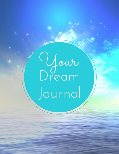O Jaur<br>Dream Journal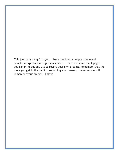This journal is my gift to you. I have provided a sample dream and sample interpretation to get you started. There are some blank pages you can print out and use to record your own dreams. Remember that the more you get in the habit of recording your dreams, the more you will remember your dreams. Enjoy!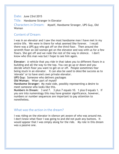Date: June 23rd 2015

Title: Handsome Stranger In Elevator

Characters in Dream: Myself, Handsome Stranger, UPS Guy, Old Woman

#### Content of Dream:

I was in an elevator and I saw the most handsome man I have met in my entire life. We were in there for what seemed like forever. I recall there was a UPS guy who got off on the third floor. Then around the seventh floor an old woman got on the elevator and was with us for a few floors. She got off and we rode the rest of the way in silence. I don't know who this man was but I hope to see him again.

**Elevator:** A vehicle that you ride in that takes you to different floors in a building and all the way to the top. You can go up or down and you decide which floor you want to get on or off. People sometimes fear being stuck in an elevator. It can also be used to describe success as to 'elevate" or to have one's own private elevator.

**UPS Guy:** Someone who delivers packages

**Old Woman:** Wiser part of myself

**Handsome Stranger:** My male side, possibly representing a desire to meet someone who looks like this.

**Numbers in Dream:** 3 and 7. 3 plus 7 equals 10. 1 plus 0 equals 1. If you are into numerology this may have greater significance, however, numbers or number sequences are important to pay attention to nonetheless.

### What was the action in the dream?

I was riding on the elevator in silence yet aware of who was around me. I don't know what floor I was going to and did not push any buttons. It would appear that I was simply along for the ride. My role in this dream was a passive one.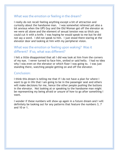# What was the emotion or feeling in the dream?

I really do not recall feeling anything except a bit of attraction and curiosity about the handsome man. I was somewhat relieved yet also a bit anxious when the UPS Guy and the Old Woman got off the elevator as we were all alone and the element of sexual tension was so thick you could cut it with a knife. I was hoping he would speak to me but he did not say a word. I did not speak to him. I just stood there staring at the elevator door and looking at him with my peripheral vision.

# What was the emotion or feeling upon waking? Was it different? If so, what was different?

I felt a little disappointed that all I did was look at him from the corners of my eye. I never turned to face him, smiled or said hello. I had no idea why I was even on the elevator or which floor I was going to. I was just standing there, watching people getting on and off the elevator.

#### Conclusion:

I think this dream is telling me that if I do not have a plan for where I want to go in life that I am going to be in the passenger seat and others will make decisions for me, hence the other people pushing the buttons in the elevator. Not looking at or speaking to the handsome man might be representing my being afraid or unsure of how to go after something I want.

I wonder if these numbers will show up again in a future dream and I will definitely be looking out for any patterns that feature the numbers 3, 7 and 10 or 1.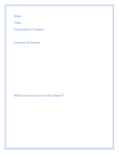Date:

Title:

Characters in Dream:

Content of Dream:

What was the action in the dream?